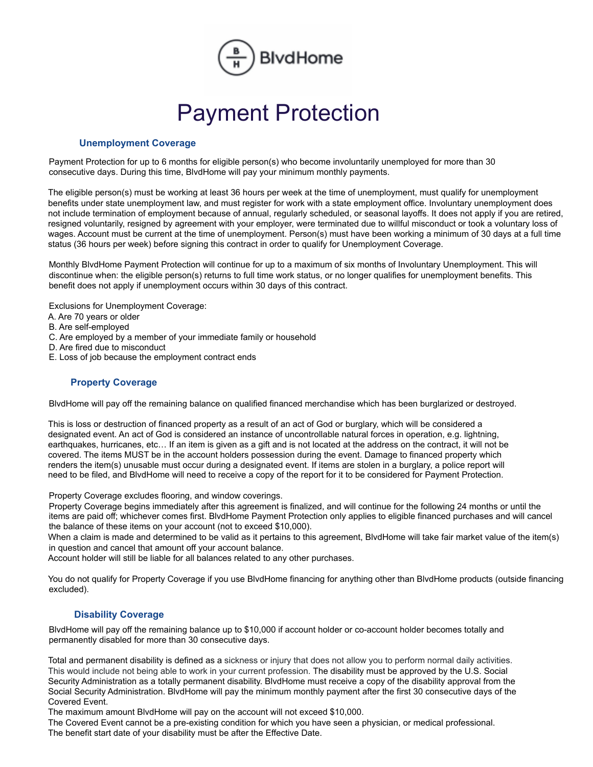

# Payment Protection

#### **Unemployment Coverage**

Payment Protection for up to 6 months for eligible person(s) who become involuntarily unemployed for more than 30 consecutive days. During this time, BlvdHome will pay your minimum monthly payments.

The eligible person(s) must be working at least 36 hours per week at the time of unemployment, must qualify for unemployment benefits under state unemployment law, and must register for work with a state employment office. Involuntary unemployment does not include termination of employment because of annual, regularly scheduled, or seasonal layoffs. It does not apply if you are retired, resigned voluntarily, resigned by agreement with your employer, were terminated due to willful misconduct or took a voluntary loss of wages. Account must be current at the time of unemployment. Person(s) must have been working a minimum of 30 days at a full time status (36 hours per week) before signing this contract in order to qualify for Unemployment Coverage.

Monthly BlvdHome Payment Protection will continue for up to a maximum of six months of Involuntary Unemployment. This will discontinue when: the eligible person(s) returns to full time work status, or no longer qualifies for unemployment benefits. This benefit does not apply if unemployment occurs within 30 days of this contract.

Exclusions for Unemployment Coverage:

- A. Are 70 years or older
- B. Are self-employed
- C. Are employed by a member of your immediate family or household
- D. Are fired due to misconduct
- E. Loss of job because the employment contract ends

# **Property Coverage**

BlvdHome will pay off the remaining balance on qualified financed merchandise which has been burglarized or destroyed.

This is loss or destruction of financed property as a result of an act of God or burglary, which will be considered a designated event. An act of God is considered an instance of uncontrollable natural forces in operation, e.g. lightning, earthquakes, hurricanes, etc... If an item is given as a gift and is not located at the address on the contract, it will not be covered. The items MUST be in the account holders possession during the event. Damage to financed property which renders the item(s) unusable must occur during a designated event. If items are stolen in a burglary, a police report will need to be filed, and BlvdHome will need to receive a copy of the report for it to be considered for Payment Protection.

Property Coverage excludes flooring, and window coverings.

Property Coverage begins immediately after this agreement is finalized, and will continue for the following 24 months or until the items are paid off; whichever comes first. BlvdHome Payment Protection only applies to eligible financed purchases and will cancel the balance of these items on your account (not to exceed \$10,000).

When a claim is made and determined to be valid as it pertains to this agreement, BlvdHome will take fair market value of the item(s) in question and cancel that amount off your account balance.

Account holder will still be liable for all balances related to any other purchases.

You do not qualify for Property Coverage if you use BlvdHome financing for anything other than BlvdHome products (outside financing excluded).

## **Disability Coverage**

BlvdHome will pay off the remaining balance up to \$10,000 if account holder or co-account holder becomes totally and permanently disabled for more than 30 consecutive days.

Total and permanent disability is defined as a sickness or injury that does not allow you to perform normal daily activities. This would include not being able to work in your current profession. The disability must be approved by the U.S. Social Security Administration as a totally permanent disability. BlvdHome must receive a copy of the disability approval from the Social Security Administration. BlvdHome will pay the minimum monthly payment after the first 30 consecutive days of the Covered Event.

The maximum amount BlvdHome will pay on the account will not exceed \$10,000.

The Covered Event cannot be a pre-existing condition for which you have seen a physician, or medical professional. The benefit start date of your disability must be after the Effective Date.